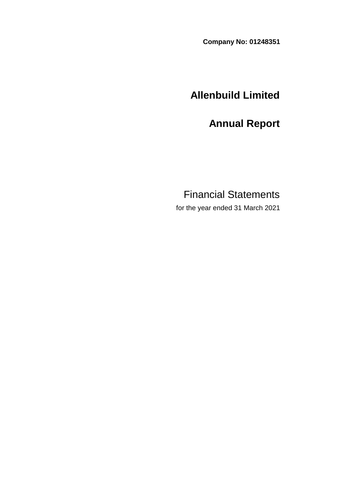**Company No: 01248351**

# **Allenbuild Limited**

**Annual Report**

# Financial Statements

for the year ended 31 March 2021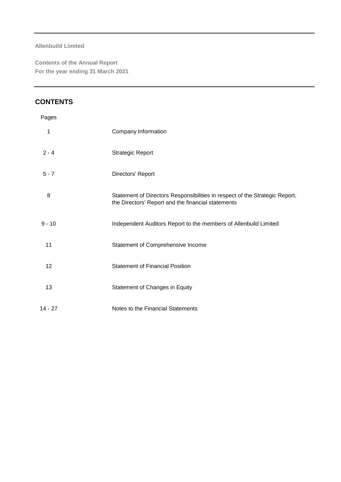**Contents of the Annual Report For the year ending 31 March 2021**

# **CONTENTS**

| Pages     |                                                                                                                                   |
|-----------|-----------------------------------------------------------------------------------------------------------------------------------|
| 1         | Company Information                                                                                                               |
| $2 - 4$   | <b>Strategic Report</b>                                                                                                           |
| $5 - 7$   | Directors' Report                                                                                                                 |
| 8         | Statement of Directors Responsibilities in respect of the Strategic Report,<br>the Directors' Report and the financial statements |
| $9 - 10$  | Independent Auditors Report to the members of Allenbuild Limited                                                                  |
| 11        | Statement of Comprehensive Income                                                                                                 |
| 12        | <b>Statement of Financial Position</b>                                                                                            |
| 13        | Statement of Changes in Equity                                                                                                    |
| $14 - 27$ | Notes to the Financial Statements                                                                                                 |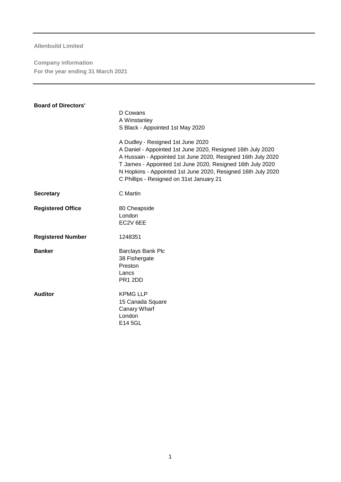**Company information For the year ending 31 March 2021**

| <b>Board of Directors'</b> |                                                                                                                                                                                                                                                                                                                                            |
|----------------------------|--------------------------------------------------------------------------------------------------------------------------------------------------------------------------------------------------------------------------------------------------------------------------------------------------------------------------------------------|
|                            | D Cowans                                                                                                                                                                                                                                                                                                                                   |
|                            | A Winstanley                                                                                                                                                                                                                                                                                                                               |
|                            | S Black - Appointed 1st May 2020                                                                                                                                                                                                                                                                                                           |
|                            | A Dudley - Resigned 1st June 2020<br>A Daniel - Appointed 1st June 2020, Resigned 16th July 2020<br>A Hussain - Appointed 1st June 2020, Resigned 16th July 2020<br>T James - Appointed 1st June 2020, Resigned 16th July 2020<br>N Hopkins - Appointed 1st June 2020, Resigned 16th July 2020<br>C Phillips - Resigned on 31st January 21 |
| <b>Secretary</b>           | C Martin                                                                                                                                                                                                                                                                                                                                   |
| <b>Registered Office</b>   | 80 Cheapside                                                                                                                                                                                                                                                                                                                               |
|                            | London                                                                                                                                                                                                                                                                                                                                     |
|                            | EC2V 6EE                                                                                                                                                                                                                                                                                                                                   |
| <b>Registered Number</b>   | 1248351                                                                                                                                                                                                                                                                                                                                    |
| <b>Banker</b>              | Barclays Bank Plc                                                                                                                                                                                                                                                                                                                          |
|                            | 38 Fishergate                                                                                                                                                                                                                                                                                                                              |
|                            | Preston                                                                                                                                                                                                                                                                                                                                    |
|                            | Lancs                                                                                                                                                                                                                                                                                                                                      |
|                            | PR1 2DD                                                                                                                                                                                                                                                                                                                                    |
| <b>Auditor</b>             | <b>KPMG LLP</b>                                                                                                                                                                                                                                                                                                                            |
|                            | 15 Canada Square                                                                                                                                                                                                                                                                                                                           |
|                            | Canary Wharf                                                                                                                                                                                                                                                                                                                               |
|                            | London                                                                                                                                                                                                                                                                                                                                     |
|                            | E14 5GL                                                                                                                                                                                                                                                                                                                                    |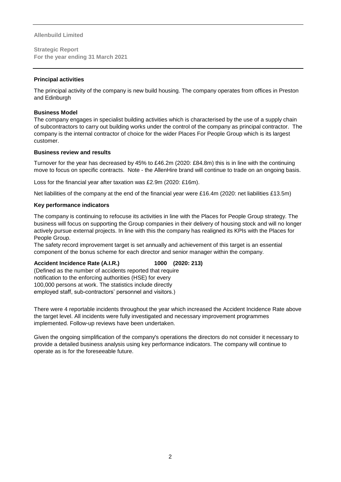**Strategic Report For the year ending 31 March 2021**

#### **Principal activities**

The principal activity of the company is new build housing. The company operates from offices in Preston and Edinburgh

#### **Business Model**

The company engages in specialist building activities which is characterised by the use of a supply chain of subcontractors to carry out building works under the control of the company as principal contractor. The company is the internal contractor of choice for the wider Places For People Group which is its largest customer.

#### **Business review and results**

Turnover for the year has decreased by 45% to £46.2m (2020: £84.8m) this is in line with the continuing move to focus on specific contracts. Note - the AllenHire brand will continue to trade on an ongoing basis.

Loss for the financial year after taxation was £2.9m (2020: £16m).

Net liabilities of the company at the end of the financial year were £16.4m (2020: net liabilities £13.5m)

#### **Key performance indicators**

The company is continuing to refocuse its activities in line with the Places for People Group strategy. The business will focus on supporting the Group companies in their delivery of housing stock and will no longer actively pursue external projects. In line with this the company has realigned its KPIs with the Places for People Group.

The safety record improvement target is set annually and achievement of this target is an essential component of the bonus scheme for each director and senior manager within the company.

#### **Accident Incidence Rate (A.I.R.) 1000 (2020: 213)**

(Defined as the number of accidents reported that require notification to the enforcing authorities (HSE) for every 100,000 persons at work. The statistics include directly employed staff, sub-contractors' personnel and visitors.)

There were 4 reportable incidents throughout the year which increased the Accident Incidence Rate above the target level. All incidents were fully investigated and necessary improvement programmes implemented. Follow-up reviews have been undertaken.

Given the ongoing simplification of the company's operations the directors do not consider it necessary to provide a detailed business analysis using key performance indicators. The company will continue to operate as is for the foreseeable future.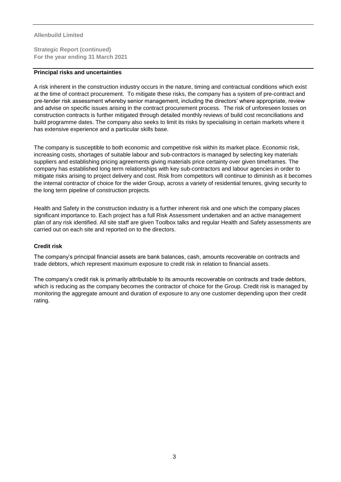**Strategic Report (continued) For the year ending 31 March 2021**

#### **Principal risks and uncertainties**

A risk inherent in the construction industry occurs in the nature, timing and contractual conditions which exist at the time of contract procurement. To mitigate these risks, the company has a system of pre-contract and pre-tender risk assessment whereby senior management, including the directors' where appropriate, review and advise on specific issues arising in the contract procurement process. The risk of unforeseen losses on construction contracts is further mitigated through detailed monthly reviews of build cost reconciliations and build programme dates. The company also seeks to limit its risks by specialising in certain markets where it has extensive experience and a particular skills base.

The company is susceptible to both economic and competitive risk within its market place. Economic risk, increasing costs, shortages of suitable labour and sub-contractors is managed by selecting key materials suppliers and establishing pricing agreements giving materials price certainty over given timeframes. The company has established long term relationships with key sub-contractors and labour agencies in order to mitigate risks arising to project delivery and cost. Risk from competitors will continue to diminish as it becomes the internal contractor of choice for the wider Group, across a variety of residential tenures, giving security to the long term pipeline of construction projects.

Health and Safety in the construction industry is a further inherent risk and one which the company places significant importance to. Each project has a full Risk Assessment undertaken and an active management plan of any risk identified. All site staff are given Toolbox talks and regular Health and Safety assessments are carried out on each site and reported on to the directors.

#### **Credit risk**

The company's principal financial assets are bank balances, cash, amounts recoverable on contracts and trade debtors, which represent maximum exposure to credit risk in relation to financial assets.

The company's credit risk is primarily attributable to its amounts recoverable on contracts and trade debtors, which is reducing as the company becomes the contractor of choice for the Group. Credit risk is managed by monitoring the aggregate amount and duration of exposure to any one customer depending upon their credit rating.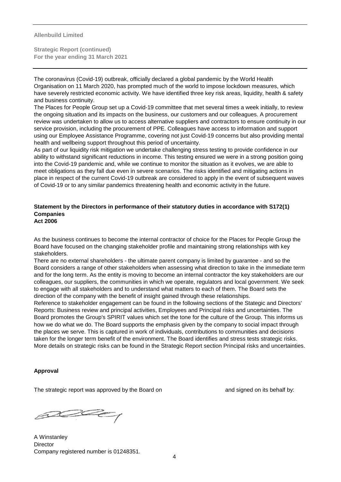**Strategic Report (continued) For the year ending 31 March 2021**

The coronavirus (Covid-19) outbreak, officially declared a global pandemic by the World Health Organisation on 11 March 2020, has prompted much of the world to impose lockdown measures, which have severely restricted economic activity. We have identified three key risk areas, liquidity, health & safety and business continuity.

The Places for People Group set up a Covid-19 committee that met several times a week initially, to review the ongoing situation and its impacts on the business, our customers and our colleagues. A procurement review was undertaken to allow us to access alternative suppliers and contractors to ensure continuity in our service provision, including the procurement of PPE. Colleagues have access to information and support using our Employee Assistance Programme, covering not just Covid-19 concerns but also providing mental health and wellbeing support throughout this period of uncertainty.

As part of our liquidity risk mitigation we undertake challenging stress testing to provide confidence in our ability to withstand significant reductions in income. This testing ensured we were in a strong position going into the Covid-19 pandemic and, while we continue to monitor the situation as it evolves, we are able to meet obligations as they fall due even in severe scenarios. The risks identified and mitigating actions in place in respect of the current Covid-19 outbreak are considered to apply in the event of subsequent waves of Covid-19 or to any similar pandemics threatening health and economic activity in the future.

# **Statement by the Directors in performance of their statutory duties in accordance with S172(1) Companies**

**Act 2006**

As the business continues to become the internal contractor of choice for the Places for People Group the Board have focused on the changing stakeholder profile and maintaining strong relationships with key stakeholders.

There are no external shareholders - the ultimate parent company is limited by guarantee - and so the Board considers a range of other stakeholders when assessing what direction to take in the immediate term and for the long term. As the entity is moving to become an internal contractor the key stakeholders are our colleagues, our suppliers, the communities in which we operate, regulators and local government. We seek to engage with all stakeholders and to understand what matters to each of them. The Board sets the direction of the company with the benefit of insight gained through these relationships.

Reference to stakeholder engagement can be found in the following sections of the Stategic and Directors' Reports: Business review and principal activities, Employees and Principal risks and uncertainties. The Board promotes the Group's SPIRIT values which set the tone for the culture of the Group. This informs us how we do what we do. The Board supports the emphasis given by the company to social impact through the places we serve. This is captured in work of individuals, contributions to communities and decisions taken for the longer term benefit of the environment. The Board identifies and stress tests strategic risks. More details on strategic risks can be found in the Strategic Report section Principal risks and uncertainties.

#### **Approval**

The strategic report was approved by the Board on and signed on its behalf by:

poder

A Winstanley **Director** Company registered number is 01248351.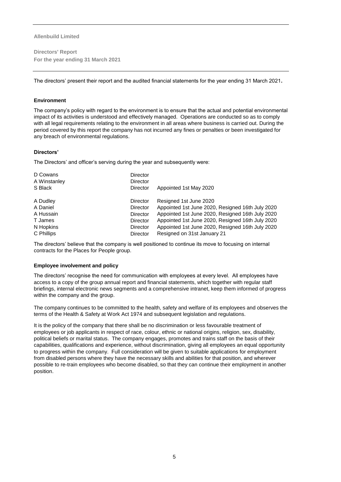**Directors' Report For the year ending 31 March 2021**

The directors' present their report and the audited financial statements for the year ending 31 March 2021**.**

#### **Environment**

The company's policy with regard to the environment is to ensure that the actual and potential environmental impact of its activities is understood and effectively managed. Operations are conducted so as to comply with all legal requirements relating to the environment in all areas where business is carried out. During the period covered by this report the company has not incurred any fines or penalties or been investigated for any breach of environmental regulations.

#### **Directors'**

The Directors' and officer's serving during the year and subsequently were:

| D Cowans<br>A Winstanley<br>S Black | <b>Director</b><br><b>Director</b><br><b>Director</b> | Appointed 1st May 2020                           |
|-------------------------------------|-------------------------------------------------------|--------------------------------------------------|
|                                     |                                                       |                                                  |
| A Dudley                            | <b>Director</b>                                       | Resigned 1st June 2020                           |
| A Daniel                            | <b>Director</b>                                       | Appointed 1st June 2020, Resigned 16th July 2020 |
| A Hussain                           | <b>Director</b>                                       | Appointed 1st June 2020, Resigned 16th July 2020 |
| T James                             | <b>Director</b>                                       | Appointed 1st June 2020, Resigned 16th July 2020 |
| N Hopkins                           | <b>Director</b>                                       | Appointed 1st June 2020, Resigned 16th July 2020 |
| C Phillips                          | <b>Director</b>                                       | Resigned on 31st January 21                      |

The directors' believe that the company is well positioned to continue its move to focusing on internal contracts for the Places for People group.

#### **Employee involvement and policy**

The directors' recognise the need for communication with employees at every level. All employees have access to a copy of the group annual report and financial statements, which together with regular staff briefings, internal electronic news segments and a comprehensive intranet, keep them informed of progress within the company and the group.

The company continues to be committed to the health, safety and welfare of its employees and observes the terms of the Health & Safety at Work Act 1974 and subsequent legislation and regulations.

It is the policy of the company that there shall be no discrimination or less favourable treatment of employees or job applicants in respect of race, colour, ethnic or national origins, religion, sex, disability, political beliefs or marital status. The company engages, promotes and trains staff on the basis of their capabilities, qualifications and experience, without discrimination, giving all employees an equal opportunity to progress within the company. Full consideration will be given to suitable applications for employment from disabled persons where they have the necessary skills and abilities for that position, and wherever possible to re-train employees who become disabled, so that they can continue their employment in another position.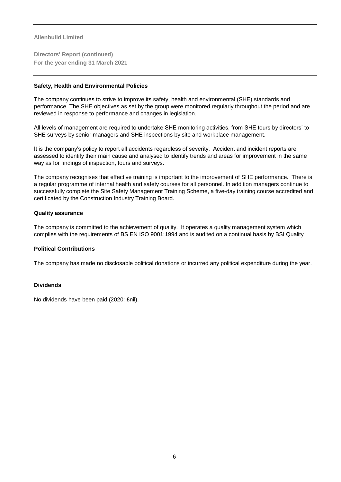**Directors' Report (continued) For the year ending 31 March 2021**

#### **Safety, Health and Environmental Policies**

The company continues to strive to improve its safety, health and environmental (SHE) standards and performance. The SHE objectives as set by the group were monitored regularly throughout the period and are reviewed in response to performance and changes in legislation.

All levels of management are required to undertake SHE monitoring activities, from SHE tours by directors' to SHE surveys by senior managers and SHE inspections by site and workplace management.

It is the company's policy to report all accidents regardless of severity. Accident and incident reports are assessed to identify their main cause and analysed to identify trends and areas for improvement in the same way as for findings of inspection, tours and surveys.

The company recognises that effective training is important to the improvement of SHE performance. There is a regular programme of internal health and safety courses for all personnel. In addition managers continue to successfully complete the Site Safety Management Training Scheme, a five-day training course accredited and certificated by the Construction Industry Training Board.

#### **Quality assurance**

The company is committed to the achievement of quality. It operates a quality management system which complies with the requirements of BS EN ISO 9001:1994 and is audited on a continual basis by BSI Quality

#### **Political Contributions**

The company has made no disclosable political donations or incurred any political expenditure during the year.

#### **Dividends**

No dividends have been paid (2020: £nil).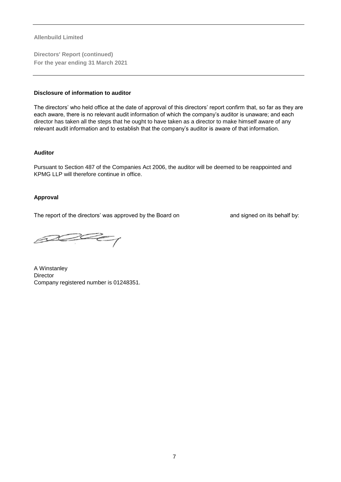**Directors' Report (continued) For the year ending 31 March 2021**

#### **Disclosure of information to auditor**

The directors' who held office at the date of approval of this directors' report confirm that, so far as they are each aware, there is no relevant audit information of which the company's auditor is unaware; and each director has taken all the steps that he ought to have taken as a director to make himself aware of any relevant audit information and to establish that the company's auditor is aware of that information.

#### **Auditor**

Pursuant to Section 487 of the Companies Act 2006, the auditor will be deemed to be reappointed and KPMG LLP will therefore continue in office.

#### **Approval**

The report of the directors' was approved by the Board on and signed on its behalf by:

 $ACC$ 

A Winstanley **Director** Company registered number is 01248351.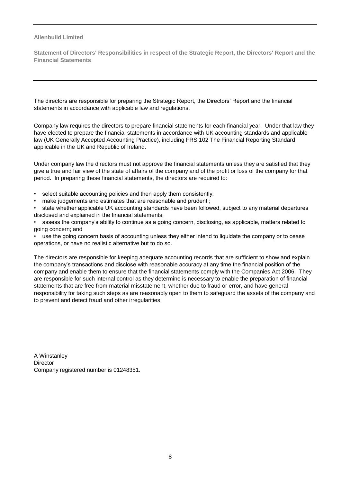**Statement of Directors' Responsibilities in respect of the Strategic Report, the Directors' Report and the Financial Statements**

The directors are responsible for preparing the Strategic Report, the Directors' Report and the financial statements in accordance with applicable law and regulations.

Company law requires the directors to prepare financial statements for each financial year. Under that law they have elected to prepare the financial statements in accordance with UK accounting standards and applicable law (UK Generally Accepted Accounting Practice), including FRS 102 The Financial Reporting Standard applicable in the UK and Republic of Ireland.

Under company law the directors must not approve the financial statements unless they are satisfied that they give a true and fair view of the state of affairs of the company and of the profit or loss of the company for that period. In preparing these financial statements, the directors are required to:

- select suitable accounting policies and then apply them consistently;
- make judgements and estimates that are reasonable and prudent :

• state whether applicable UK accounting standards have been followed, subject to any material departures disclosed and explained in the financial statements;

• assess the company's ability to continue as a going concern, disclosing, as applicable, matters related to going concern; and

• use the going concern basis of accounting unless they either intend to liquidate the company or to cease operations, or have no realistic alternative but to do so.

The directors are responsible for keeping adequate accounting records that are sufficient to show and explain the company's transactions and disclose with reasonable accuracy at any time the financial position of the company and enable them to ensure that the financial statements comply with the Companies Act 2006. They are responsible for such internal control as they determine is necessary to enable the preparation of financial statements that are free from material misstatement, whether due to fraud or error, and have general responsibility for taking such steps as are reasonably open to them to safeguard the assets of the company and to prevent and detect fraud and other irregularities.

A Winstanley **Director** Company registered number is 01248351.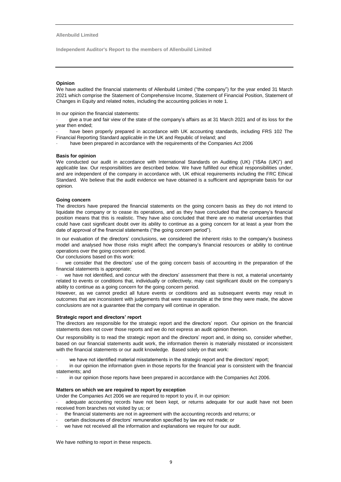**Independent Auditor's Report to the members of Allenbuild Limited**

#### **Opinion**

We have audited the financial statements of Allenbuild Limited ("the company") for the year ended 31 March 2021 which comprise the Statement of Comprehensive Income, Statement of Financial Position, Statement of Changes in Equity and related notes, including the accounting policies in note 1.

In our opinion the financial statements:

give a true and fair view of the state of the company's affairs as at 31 March 2021 and of its loss for the year then ended;

have been properly prepared in accordance with UK accounting standards, including FRS 102 The Financial Reporting Standard applicable in the UK and Republic of Ireland; and

have been prepared in accordance with the requirements of the Companies Act 2006

#### **Basis for opinion**

We conducted our audit in accordance with International Standards on Auditing (UK) ("ISAs (UK)") and applicable law. Our responsibilities are described below. We have fulfilled our ethical responsibilities under, and are independent of the company in accordance with, UK ethical requirements including the FRC Ethical Standard. We believe that the audit evidence we have obtained is a sufficient and appropriate basis for our opinion.

#### **Going concern**

The directors have prepared the financial statements on the going concern basis as they do not intend to liquidate the company or to cease its operations, and as they have concluded that the company's financial position means that this is realistic. They have also concluded that there are no material uncertainties that could have cast significant doubt over its ability to continue as a going concern for at least a year from the date of approval of the financial statements ("the going concern period").

In our evaluation of the directors' conclusions, we considered the inherent risks to the company's business model and analysed how those risks might affect the company's financial resources or ability to continue operations over the going concern period.

Our conclusions based on this work:

we consider that the directors' use of the going concern basis of accounting in the preparation of the financial statements is appropriate;

we have not identified, and concur with the directors' assessment that there is not, a material uncertainty related to events or conditions that, individually or collectively, may cast significant doubt on the company's ability to continue as a going concern for the going concern period.

However, as we cannot predict all future events or conditions and as subsequent events may result in outcomes that are inconsistent with judgements that were reasonable at the time they were made, the above conclusions are not a guarantee that the company will continue in operation.

#### **Strategic report and directors' report**

The directors are responsible for the strategic report and the directors' report. Our opinion on the financial statements does not cover those reports and we do not express an audit opinion thereon.

Our responsibility is to read the strategic report and the directors' report and, in doing so, consider whether, based on our financial statements audit work, the information therein is materially misstated or inconsistent with the financial statements or our audit knowledge. Based solely on that work:

- we have not identified material misstatements in the strategic report and the directors' report;
- in our opinion the information given in those reports for the financial year is consistent with the financial statements; and
- in our opinion those reports have been prepared in accordance with the Companies Act 2006.

#### **Matters on which we are required to report by exception**

Under the Companies Act 2006 we are required to report to you if, in our opinion:

adequate accounting records have not been kept, or returns adequate for our audit have not been received from branches not visited by us; or

- · the financial statements are not in agreement with the accounting records and returns; or
- · certain disclosures of directors' remuneration specified by law are not made; or
- we have not received all the information and explanations we require for our audit.

We have nothing to report in these respects.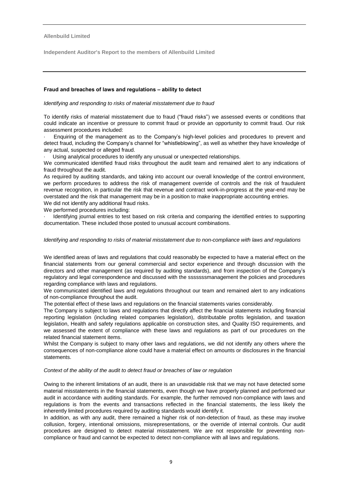**Independent Auditor's Report to the members of Allenbuild Limited**

#### **Fraud and breaches of laws and regulations – ability to detect**

#### *Identifying and responding to risks of material misstatement due to fraud*

To identify risks of material misstatement due to fraud ("fraud risks") we assessed events or conditions that could indicate an incentive or pressure to commit fraud or provide an opportunity to commit fraud. Our risk assessment procedures included:

Enquiring of the management as to the Company's high-level policies and procedures to prevent and detect fraud, including the Company's channel for "whistleblowing", as well as whether they have knowledge of any actual, suspected or alleged fraud.

Using analytical procedures to identify any unusual or unexpected relationships.

We communicated identified fraud risks throughout the audit team and remained alert to any indications of fraud throughout the audit.

As required by auditing standards, and taking into account our overall knowledge of the control environment, we perform procedures to address the risk of management override of controls and the risk of fraudulent revenue recognition, in particular the risk that revenue and contract work-in-progress at the year-end may be overstated and the risk that management may be in a position to make inappropriate accounting entries.

We did not identify any additional fraud risks.

We performed procedures including:

Identifying journal entries to test based on risk criteria and comparing the identified entries to supporting documentation. These included those posted to unusual account combinations.

#### *Identifying and responding to risks of material misstatement due to non-compliance with laws and regulations*

We identified areas of laws and regulations that could reasonably be expected to have a material effect on the financial statements from our general commercial and sector experience and through discussion with the directors and other management (as required by auditing standards), and from inspection of the Company's regulatory and legal correspondence and discussed with the sssssssmanagement the policies and procedures regarding compliance with laws and regulations.

We communicated identified laws and regulations throughout our team and remained alert to any indications of non-compliance throughout the audit.

The potential effect of these laws and regulations on the financial statements varies considerably.

The Company is subject to laws and regulations that directly affect the financial statements including financial reporting legislation (including related companies legislation), distributable profits legislation, and taxation legislation, Health and safety regulations applicable on construction sites, and Quality ISO requirements, and we assessed the extent of compliance with these laws and regulations as part of our procedures on the related financial statement items.

Whilst the Company is subject to many other laws and regulations, we did not identify any others where the consequences of non-compliance alone could have a material effect on amounts or disclosures in the financial statements.

#### *Context of the ability of the audit to detect fraud or breaches of law or regulation*

Owing to the inherent limitations of an audit, there is an unavoidable risk that we may not have detected some material misstatements in the financial statements, even though we have properly planned and performed our audit in accordance with auditing standards. For example, the further removed non-compliance with laws and regulations is from the events and transactions reflected in the financial statements, the less likely the inherently limited procedures required by auditing standards would identify it.

In addition, as with any audit, there remained a higher risk of non-detection of fraud, as these may involve collusion, forgery, intentional omissions, misrepresentations, or the override of internal controls. Our audit procedures are designed to detect material misstatement. We are not responsible for preventing noncompliance or fraud and cannot be expected to detect non-compliance with all laws and regulations.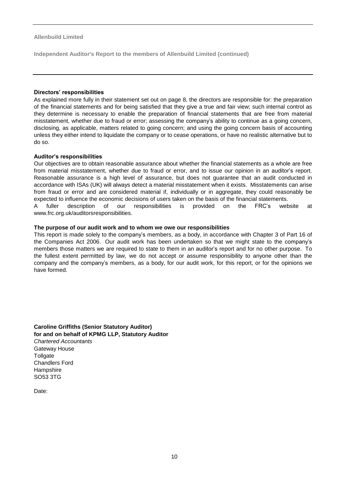**Independent Auditor's Report to the members of Allenbuild Limited (continued)**

#### **Directors' responsibilities**

As explained more fully in their statement set out on page 8, the directors are responsible for: the preparation of the financial statements and for being satisfied that they give a true and fair view; such internal control as they determine is necessary to enable the preparation of financial statements that are free from material misstatement, whether due to fraud or error; assessing the company's ability to continue as a going concern, disclosing, as applicable, matters related to going concern; and using the going concern basis of accounting unless they either intend to liquidate the company or to cease operations, or have no realistic alternative but to do so.

#### **Auditor's responsibilities**

Our objectives are to obtain reasonable assurance about whether the financial statements as a whole are free from material misstatement, whether due to fraud or error, and to issue our opinion in an auditor's report. Reasonable assurance is a high level of assurance, but does not guarantee that an audit conducted in accordance with ISAs (UK) will always detect a material misstatement when it exists. Misstatements can arise from fraud or error and are considered material if, individually or in aggregate, they could reasonably be expected to influence the economic decisions of users taken on the basis of the financial statements. A fuller description of our responsibilities is provided on the FRC's website at

www.frc.org.uk/auditorsresponsibilities.

#### **The purpose of our audit work and to whom we owe our responsibilities**

This report is made solely to the company's members, as a body, in accordance with Chapter 3 of Part 16 of the Companies Act 2006. Our audit work has been undertaken so that we might state to the company's members those matters we are required to state to them in an auditor's report and for no other purpose. To the fullest extent permitted by law, we do not accept or assume responsibility to anyone other than the company and the company's members, as a body, for our audit work, for this report, or for the opinions we have formed.

**Caroline Griffiths (Senior Statutory Auditor) for and on behalf of KPMG LLP, Statutory Auditor**  *Chartered Accountants*  Gateway House **Tollgate** Chandlers Ford **Hampshire** SO53 3TG

Date: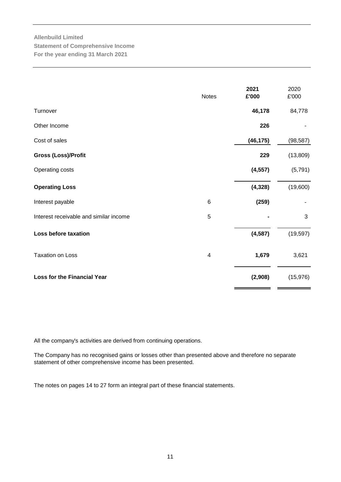# **Allenbuild Limited Statement of Comprehensive Income For the year ending 31 March 2021**

|                                        | <b>Notes</b>            | 2021<br>£'000 | 2020<br>£'000 |
|----------------------------------------|-------------------------|---------------|---------------|
| Turnover                               |                         | 46,178        | 84,778        |
| Other Income                           |                         | 226           |               |
| Cost of sales                          |                         | (46, 175)     | (98, 587)     |
| Gross (Loss)/Profit                    |                         | 229           | (13,809)      |
| Operating costs                        |                         | (4, 557)      | (5,791)       |
| <b>Operating Loss</b>                  |                         | (4, 328)      | (19,600)      |
| Interest payable                       | $\,6$                   | (259)         |               |
| Interest receivable and similar income | 5                       |               | 3             |
| Loss before taxation                   |                         | (4, 587)      | (19, 597)     |
| <b>Taxation on Loss</b>                | $\overline{\mathbf{4}}$ | 1,679         | 3,621         |
| <b>Loss for the Financial Year</b>     |                         | (2,908)       | (15, 976)     |

All the company's activities are derived from continuing operations.

The Company has no recognised gains or losses other than presented above and therefore no separate statement of other comprehensive income has been presented.

The notes on pages 14 to 27 form an integral part of these financial statements.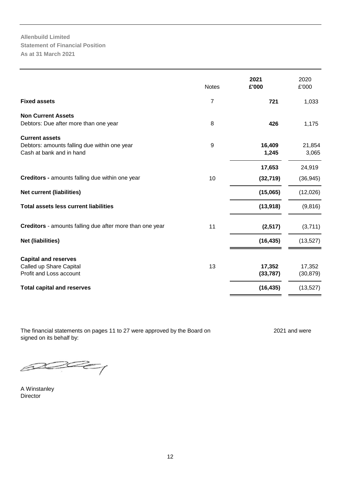**Allenbuild Limited Statement of Financial Position As at 31 March 2021**

|                                                                                                   | <b>Notes</b>     | 2021<br>£'000       | 2020<br>£'000       |
|---------------------------------------------------------------------------------------------------|------------------|---------------------|---------------------|
| <b>Fixed assets</b>                                                                               | 7                | 721                 | 1,033               |
| <b>Non Current Assets</b><br>Debtors: Due after more than one year                                | 8                | 426                 | 1,175               |
| <b>Current assets</b><br>Debtors: amounts falling due within one year<br>Cash at bank and in hand | $\boldsymbol{9}$ | 16,409<br>1,245     | 21,854<br>3,065     |
|                                                                                                   |                  | 17,653              | 24,919              |
| Creditors - amounts falling due within one year                                                   | 10               | (32, 719)           | (36, 945)           |
| <b>Net current (liabilities)</b>                                                                  |                  | (15,065)            | (12,026)            |
| <b>Total assets less current liabilities</b>                                                      |                  | (13, 918)           | (9,816)             |
| Creditors - amounts falling due after more than one year                                          | 11               | (2, 517)            | (3,711)             |
| <b>Net (liabilities)</b>                                                                          |                  | (16, 435)           | (13,527)            |
| <b>Capital and reserves</b><br>Called up Share Capital<br>Profit and Loss account                 | 13               | 17,352<br>(33, 787) | 17,352<br>(30, 879) |
| <b>Total capital and reserves</b>                                                                 |                  | (16, 435)           | (13, 527)           |

The financial statements on pages 11 to 27 were approved by the Board on 2021 and were signed on its behalf by:

 $\mathbb{Z}$ 

A Winstanley Director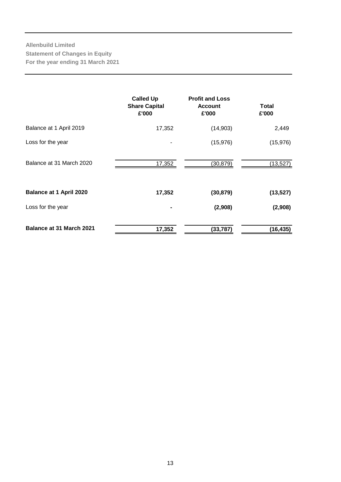# **Allenbuild Limited Statement of Changes in Equity For the year ending 31 March 2021**

|                                 | <b>Called Up</b><br><b>Share Capital</b><br>£'000 | <b>Profit and Loss</b><br><b>Account</b><br>£'000 | Total<br>£'000 |
|---------------------------------|---------------------------------------------------|---------------------------------------------------|----------------|
| Balance at 1 April 2019         | 17,352                                            | (14, 903)                                         | 2,449          |
| Loss for the year               |                                                   | (15, 976)                                         | (15, 976)      |
| Balance at 31 March 2020        | 17,352                                            | (30, 879)                                         | (13, 527)      |
| <b>Balance at 1 April 2020</b>  | 17,352                                            | (30, 879)                                         | (13, 527)      |
| Loss for the year               |                                                   | (2,908)                                           | (2,908)        |
| <b>Balance at 31 March 2021</b> | 17,352                                            | (33, 787)                                         | (16, 435)      |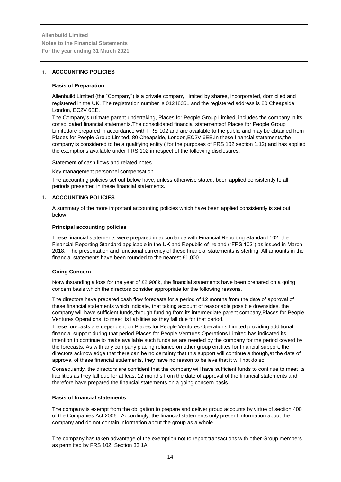#### **1. ACCOUNTING POLICIES**

#### **Basis of Preparation**

Allenbuild Limited (the "Company") is a private company, limited by shares, incorporated, domiciled and registered in the UK. The registration number is 01248351 and the registered address is 80 Cheapside, London, EC2V 6EE.

The Company's ultimate parent undertaking, Places for People Group Limited, includes the company in its consolidated financial statements.The consolidated financial statementsof Places for People Group Limitedare prepared in accordance with FRS 102 and are available to the public and may be obtained from Places for People Group Limited, 80 Cheapside, London,EC2V 6EE.In these financial statements,the company is considered to be a qualifying entity ( for the purposes of FRS 102 section 1.12) and has applied the exemptions available under FRS 102 in respect of the following disclosures:

#### Statement of cash flows and related notes

Key management personnel compensation

The accounting policies set out below have, unless otherwise stated, been applied consistently to all periods presented in these financial statements.

#### **1. ACCOUNTING POLICIES**

A summary of the more important accounting policies which have been applied consistently is set out below.

#### **Principal accounting policies**

These financial statements were prepared in accordance with Financial Reporting Standard 102, the Financial Reporting Standard applicable in the UK and Republic of Ireland ("FRS 102") as issued in March 2018. The presentation and functional currency of these financial statements is sterling. All amounts in the financial statements have been rounded to the nearest £1,000.

#### **Going Concern**

Notwithstanding a loss for the year of £2,908k, the financial statements have been prepared on a going concern basis which the directors consider appropriate for the following reasons.

The directors have prepared cash flow forecasts for a period of 12 months from the date of approval of these financial statements which indicate, that taking account of reasonable possible downsides, the company will have sufficient funds,through funding from its intermediate parent company,Places for People Ventures Operations, to meet its liabilities as they fall due for that period.

These forecasts are dependent on Places for People Ventures Operations Limited providing additional financial support during that period.Places for People Ventures Operations Limited has indicated its intention to continue to make available such funds as are needed by the company for the period coverd by the forecasts. As with any company placing reliance on other group entitites for financial support, the directors acknowledge that there can be no certainty that this support will continue although,at the date of approval of these financial statements, they have no reason to believe that it will not do so.

Consequently, the directors are confident that the company will have sufficient funds to continue to meet its liabilities as they fall due for at least 12 months from the date of approval of the financial statements and therefore have prepared the financial statements on a going concern basis.

#### **Basis of financial statements**

The company is exempt from the obligation to prepare and deliver group accounts by virtue of section 400 of the Companies Act 2006. Accordingly, the financial statements only present information about the company and do not contain information about the group as a whole.

The company has taken advantage of the exemption not to report transactions with other Group members as permitted by FRS 102, Section 33.1A.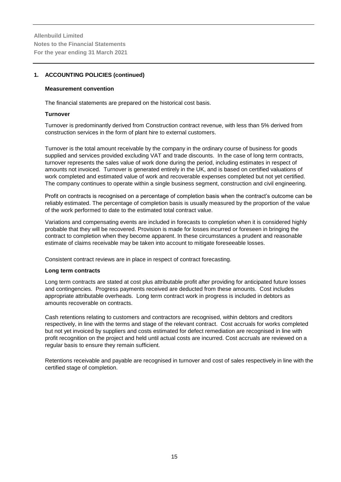#### **1. ACCOUNTING POLICIES (continued)**

#### **Measurement convention**

The financial statements are prepared on the historical cost basis.

#### **Turnover**

Turnover is predominantly derived from Construction contract revenue, with less than 5% derived from construction services in the form of plant hire to external customers.

Turnover is the total amount receivable by the company in the ordinary course of business for goods supplied and services provided excluding VAT and trade discounts. In the case of long term contracts, turnover represents the sales value of work done during the period, including estimates in respect of amounts not invoiced. Turnover is generated entirely in the UK, and is based on certified valuations of work completed and estimated value of work and recoverable expenses completed but not yet certified. The company continues to operate within a single business segment, construction and civil engineering.

Profit on contracts is recognised on a percentage of completion basis when the contract's outcome can be reliably estimated. The percentage of completion basis is usually measured by the proportion of the value of the work performed to date to the estimated total contract value.

Variations and compensating events are included in forecasts to completion when it is considered highly probable that they will be recovered. Provision is made for losses incurred or foreseen in bringing the contract to completion when they become apparent. In these circumstances a prudent and reasonable estimate of claims receivable may be taken into account to mitigate foreseeable losses.

Consistent contract reviews are in place in respect of contract forecasting.

#### **Long term contracts**

Long term contracts are stated at cost plus attributable profit after providing for anticipated future losses and contingencies. Progress payments received are deducted from these amounts. Cost includes appropriate attributable overheads. Long term contract work in progress is included in debtors as amounts recoverable on contracts.

Cash retentions relating to customers and contractors are recognised, within debtors and creditors respectively, in line with the terms and stage of the relevant contract. Cost accruals for works completed but not yet invoiced by suppliers and costs estimated for defect remediation are recognised in line with profit recognition on the project and held until actual costs are incurred. Cost accruals are reviewed on a regular basis to ensure they remain sufficient.

Retentions receivable and payable are recognised in turnover and cost of sales respectively in line with the certified stage of completion.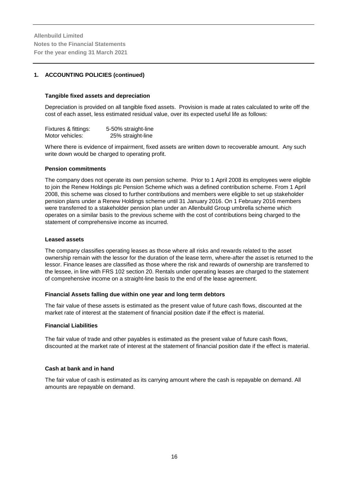#### **1. ACCOUNTING POLICIES (continued)**

#### **Tangible fixed assets and depreciation**

Depreciation is provided on all tangible fixed assets. Provision is made at rates calculated to write off the cost of each asset, less estimated residual value, over its expected useful life as follows:

| Fixtures & fittings: | 5-50% straight-line |
|----------------------|---------------------|
| Motor vehicles:      | 25% straight-line   |

Where there is evidence of impairment, fixed assets are written down to recoverable amount. Any such write down would be charged to operating profit.

#### **Pension commitments**

The company does not operate its own pension scheme. Prior to 1 April 2008 its employees were eligible to join the Renew Holdings plc Pension Scheme which was a defined contribution scheme. From 1 April 2008, this scheme was closed to further contributions and members were eligible to set up stakeholder pension plans under a Renew Holdings scheme until 31 January 2016. On 1 February 2016 members were transferred to a stakeholder pension plan under an Allenbuild Group umbrella scheme which operates on a similar basis to the previous scheme with the cost of contributions being charged to the statement of comprehensive income as incurred.

#### **Leased assets**

The company classifies operating leases as those where all risks and rewards related to the asset ownership remain with the lessor for the duration of the lease term, where-after the asset is returned to the lessor. Finance leases are classified as those where the risk and rewards of ownership are transferred to the lessee, in line with FRS 102 section 20. Rentals under operating leases are charged to the statement of comprehensive income on a straight-line basis to the end of the lease agreement.

#### **Financial Assets falling due within one year and long term debtors**

The fair value of these assets is estimated as the present value of future cash flows, discounted at the market rate of interest at the statement of financial position date if the effect is material.

#### **Financial Liabilities**

The fair value of trade and other payables is estimated as the present value of future cash flows, discounted at the market rate of interest at the statement of financial position date if the effect is material.

#### **Cash at bank and in hand**

The fair value of cash is estimated as its carrying amount where the cash is repayable on demand. All amounts are repayable on demand.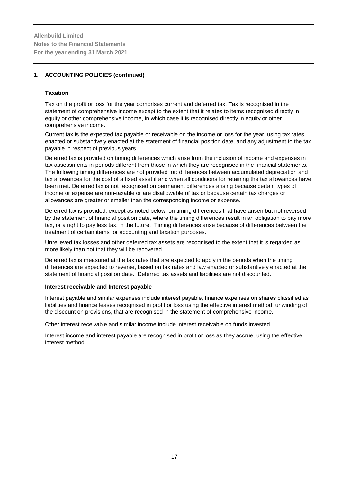### **1. ACCOUNTING POLICIES (continued)**

#### **Taxation**

Tax on the profit or loss for the year comprises current and deferred tax. Tax is recognised in the statement of comprehensive income except to the extent that it relates to items recognised directly in equity or other comprehensive income, in which case it is recognised directly in equity or other comprehensive income.

Current tax is the expected tax payable or receivable on the income or loss for the year, using tax rates enacted or substantively enacted at the statement of financial position date, and any adjustment to the tax payable in respect of previous years.

Deferred tax is provided on timing differences which arise from the inclusion of income and expenses in tax assessments in periods different from those in which they are recognised in the financial statements. The following timing differences are not provided for: differences between accumulated depreciation and tax allowances for the cost of a fixed asset if and when all conditions for retaining the tax allowances have been met. Deferred tax is not recognised on permanent differences arising because certain types of income or expense are non-taxable or are disallowable of tax or because certain tax charges or allowances are greater or smaller than the corresponding income or expense.

Deferred tax is provided, except as noted below, on timing differences that have arisen but not reversed by the statement of financial position date, where the timing differences result in an obligation to pay more tax, or a right to pay less tax, in the future. Timing differences arise because of differences between the treatment of certain items for accounting and taxation purposes.

Unrelieved tax losses and other deferred tax assets are recognised to the extent that it is regarded as more likely than not that they will be recovered.

Deferred tax is measured at the tax rates that are expected to apply in the periods when the timing differences are expected to reverse, based on tax rates and law enacted or substantively enacted at the statement of financial position date. Deferred tax assets and liabilities are not discounted.

#### **Interest receivable and Interest payable**

Interest payable and similar expenses include interest payable, finance expenses on shares classified as liabilities and finance leases recognised in profit or loss using the effective interest method, unwinding of the discount on provisions, that are recognised in the statement of comprehensive income.

Other interest receivable and similar income include interest receivable on funds invested.

Interest income and interest payable are recognised in profit or loss as they accrue, using the effective interest method.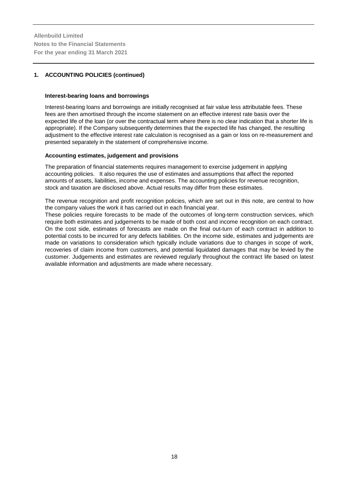#### **1. ACCOUNTING POLICIES (continued)**

#### **Interest-bearing loans and borrowings**

Interest-bearing loans and borrowings are initially recognised at fair value less attributable fees. These fees are then amortised through the income statement on an effective interest rate basis over the expected life of the loan (or over the contractual term where there is no clear indication that a shorter life is appropriate). If the Company subsequently determines that the expected life has changed, the resulting adjustment to the effective interest rate calculation is recognised as a gain or loss on re-measurement and presented separately in the statement of comprehensive income.

#### **Accounting estimates, judgement and provisions**

The preparation of financial statements requires management to exercise judgement in applying accounting policies. It also requires the use of estimates and assumptions that affect the reported amounts of assets, liabilities, income and expenses. The accounting policies for revenue recognition, stock and taxation are disclosed above. Actual results may differ from these estimates.

The revenue recognition and profit recognition policies, which are set out in this note, are central to how the company values the work it has carried out in each financial year.

These policies require forecasts to be made of the outcomes of long-term construction services, which require both estimates and judgements to be made of both cost and income recognition on each contract. On the cost side, estimates of forecasts are made on the final out-turn of each contract in addition to potential costs to be incurred for any defects liabilities. On the income side, estimates and judgements are made on variations to consideration which typically include variations due to changes in scope of work, recoveries of claim income from customers, and potential liquidated damages that may be levied by the customer. Judgements and estimates are reviewed regularly throughout the contract life based on latest available information and adjustments are made where necessary.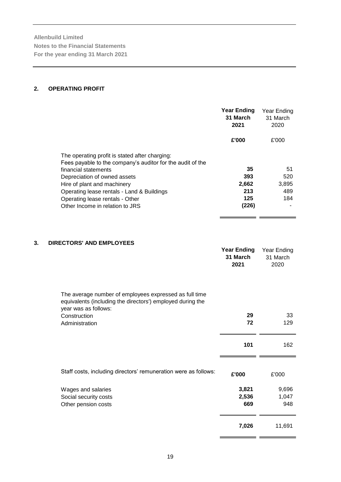#### **2. OPERATING PROFIT**

|                                                                                                                                                                                                                                                                                                                         | Year Ending<br>31 March<br>2021           | Year Ending<br>31 March<br>2020  |
|-------------------------------------------------------------------------------------------------------------------------------------------------------------------------------------------------------------------------------------------------------------------------------------------------------------------------|-------------------------------------------|----------------------------------|
|                                                                                                                                                                                                                                                                                                                         | £'000                                     | £'000                            |
| The operating profit is stated after charging:<br>Fees payable to the company's auditor for the audit of the<br>financial statements<br>Depreciation of owned assets<br>Hire of plant and machinery<br>Operating lease rentals - Land & Buildings<br>Operating lease rentals - Other<br>Other Income in relation to JRS | 35<br>393<br>2,662<br>213<br>125<br>(226) | 51<br>520<br>3,895<br>489<br>184 |

# **3. DIRECTORS' AND EMPLOYEES**

| The average number of employees expressed as full time             | <b>Year Ending</b><br>31 March<br>2021 | Year Ending<br>31 March<br>2020 |
|--------------------------------------------------------------------|----------------------------------------|---------------------------------|
| equivalents (including the directors') employed during the         |                                        |                                 |
| year was as follows:<br>Construction<br>Administration             | 29<br>72                               | 33<br>129                       |
|                                                                    | 101                                    | 162                             |
| Staff costs, including directors' remuneration were as follows:    | £'000                                  | £'000                           |
| Wages and salaries<br>Social security costs<br>Other pension costs | 3,821<br>2,536<br>669                  | 9,696<br>1,047<br>948           |
|                                                                    | 7,026                                  | 11,691                          |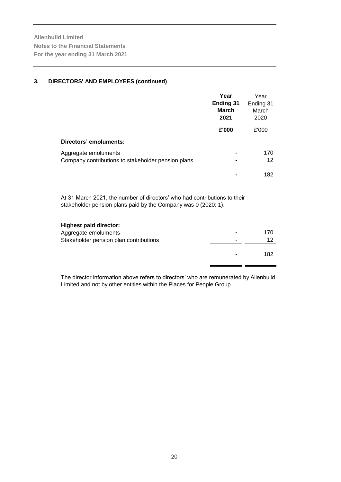#### **3. DIRECTORS' AND EMPLOYEES (continued)**

|                                                                            | Year<br><b>Ending 31</b><br><b>March</b><br>2021 | Year<br>Ending 31<br>March<br>2020 |
|----------------------------------------------------------------------------|--------------------------------------------------|------------------------------------|
|                                                                            | £'000                                            | £'000                              |
| Directors' emoluments:                                                     |                                                  |                                    |
| Aggregate emoluments<br>Company contributions to stakeholder pension plans |                                                  | 170<br>12                          |
|                                                                            |                                                  | 182                                |

At 31 March 2021, the number of directors' who had contributions to their stakeholder pension plans paid by the Company was 0 (2020: 1).

| <b>Highest paid director:</b>          |                |     |
|----------------------------------------|----------------|-----|
| Aggregate emoluments                   | $\blacksquare$ | 170 |
| Stakeholder pension plan contributions | -              | 12  |
|                                        | $\blacksquare$ | 182 |

The director information above refers to directors' who are remunerated by Allenbuild Limited and not by other entities within the Places for People Group.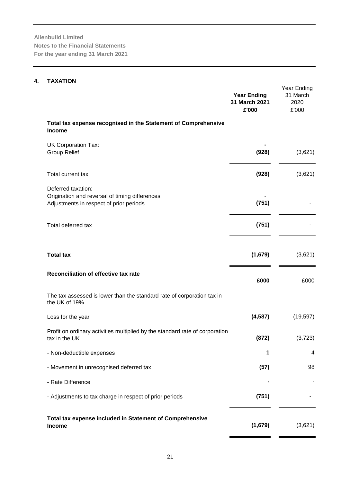# **4. TAXATION**

|                                                                                                                 | <b>Year Ending</b><br>31 March 2021<br>£'000 | Year Ending<br>31 March<br>2020<br>£'000 |
|-----------------------------------------------------------------------------------------------------------------|----------------------------------------------|------------------------------------------|
| Total tax expense recognised in the Statement of Comprehensive<br><b>Income</b>                                 |                                              |                                          |
| <b>UK Corporation Tax:</b><br><b>Group Relief</b>                                                               | (928)                                        | (3,621)                                  |
| Total current tax                                                                                               | (928)                                        | (3,621)                                  |
| Deferred taxation:<br>Origination and reversal of timing differences<br>Adjustments in respect of prior periods | (751)                                        |                                          |
| Total deferred tax                                                                                              | (751)                                        |                                          |
|                                                                                                                 |                                              |                                          |
| <b>Total tax</b>                                                                                                | (1,679)                                      | (3,621)                                  |
| Reconciliation of effective tax rate                                                                            | £000                                         | £000                                     |
| The tax assessed is lower than the standard rate of corporation tax in<br>the UK of 19%                         |                                              |                                          |
| Loss for the year                                                                                               | (4, 587)                                     | (19, 597)                                |
| Profit on ordinary activities multiplied by the standard rate of corporation<br>tax in the UK                   | (872)                                        | (3,723)                                  |
| - Non-deductible expenses                                                                                       | 1                                            | 4                                        |
| - Movement in unrecognised deferred tax                                                                         | (57)                                         | 98                                       |
| - Rate Difference                                                                                               |                                              |                                          |
| - Adjustments to tax charge in respect of prior periods                                                         | (751)                                        |                                          |
| Total tax expense included in Statement of Comprehensive<br><b>Income</b>                                       | (1,679)                                      | (3,621)                                  |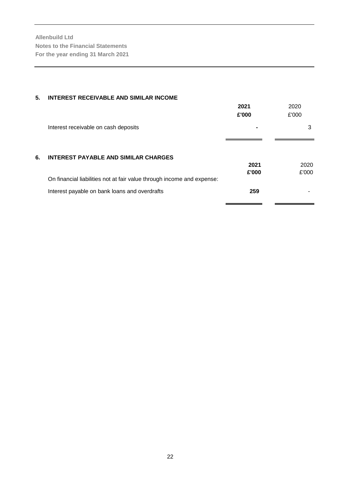| 5. | <b>INTEREST RECEIVABLE AND SIMILAR INCOME</b>                          |       |       |
|----|------------------------------------------------------------------------|-------|-------|
|    |                                                                        | 2021  | 2020  |
|    |                                                                        | £'000 | £'000 |
|    | Interest receivable on cash deposits                                   |       | 3     |
|    |                                                                        |       |       |
| 6. | INTEREST PAYABLE AND SIMILAR CHARGES                                   |       |       |
|    |                                                                        | 2021  | 2020  |
|    |                                                                        | £'000 | £'000 |
|    | On financial liabilities not at fair value through income and expense: |       |       |
|    | Interest payable on bank loans and overdrafts                          | 259   |       |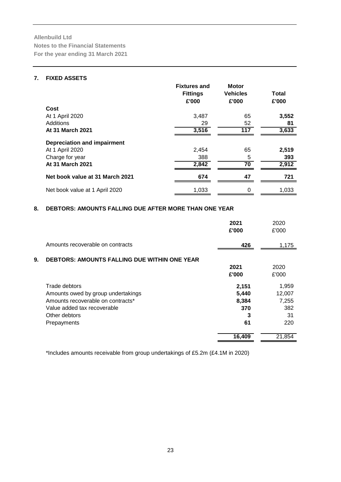### **7. FIXED ASSETS**

|                                    | <b>Fixtures and</b><br><b>Fittings</b><br>£'000 | <b>Motor</b><br><b>Vehicles</b><br>£'000 | Total<br>£'000 |
|------------------------------------|-------------------------------------------------|------------------------------------------|----------------|
| Cost                               |                                                 |                                          |                |
| At 1 April 2020                    | 3,487                                           | 65                                       | 3,552          |
| Additions                          | 29                                              | 52                                       | 81             |
| At 31 March 2021                   | 3,516                                           | 117                                      | 3,633          |
| <b>Depreciation and impairment</b> |                                                 |                                          |                |
| At 1 April 2020                    | 2,454                                           | 65                                       | 2,519          |
| Charge for year                    | 388                                             | 5                                        | 393            |
| At 31 March 2021                   | 2,842                                           | 70                                       | 2,912          |
| Net book value at 31 March 2021    | 674                                             | 47                                       | 721            |
| Net book value at 1 April 2020     | 1,033                                           | 0                                        | 1,033          |

# **8. DEBTORS: AMOUNTS FALLING DUE AFTER MORE THAN ONE YEAR**

|                                                           | 2021<br>£'000 | 2020<br>£'000 |
|-----------------------------------------------------------|---------------|---------------|
| Amounts recoverable on contracts                          | 426           | 1,175         |
| 9.<br><b>DEBTORS: AMOUNTS FALLING DUE WITHIN ONE YEAR</b> |               |               |
|                                                           | 2021          | 2020          |
|                                                           | £'000         | £'000         |
| Trade debtors                                             | 2,151         | 1,959         |
| Amounts owed by group undertakings                        | 5,440         | 12,007        |
| Amounts recoverable on contracts*                         | 8,384         | 7,255         |
| Value added tax recoverable                               | 370           | 382           |
| Other debtors                                             | 3             | 31            |
| Prepayments                                               | 61            | 220           |
|                                                           | 16,409        | 21,854        |

\*Includes amounts receivable from group undertakings of £5.2m (£4.1M in 2020)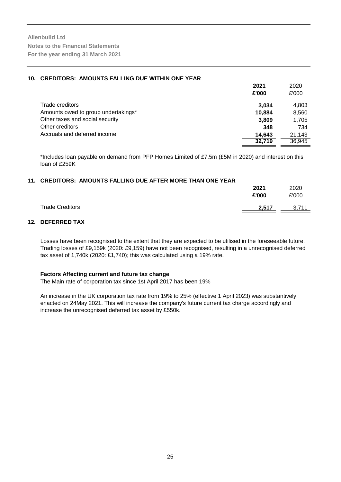| 10. CREDITORS: AMOUNTS FALLING DUE WITHIN ONE YEAR |        |        |
|----------------------------------------------------|--------|--------|
|                                                    | 2021   | 2020   |
|                                                    | £'000  | £'000  |
| Trade creditors                                    | 3.034  | 4,803  |
| Amounts owed to group undertakings*                | 10.884 | 8,560  |
| Other taxes and social security                    | 3.809  | 1,705  |
| Other creditors                                    | 348    | 734    |
| Accruals and deferred income                       | 14.643 | 21,143 |
|                                                    | 32.719 | 36,945 |

\*Includes loan payable on demand from PFP Homes Limited of £7.5m (£5M in 2020) and interest on this loan of £259K

# **11. CREDITORS: AMOUNTS FALLING DUE AFTER MORE THAN ONE YEAR**

|                        | 2021<br>£'000 | 2020<br>£'000    |
|------------------------|---------------|------------------|
| <b>Trade Creditors</b> | 2,517         | 3711<br>. ا /, ل |

#### **12. DEFERRED TAX**

Losses have been recognised to the extent that they are expected to be utilised in the foreseeable future. Trading losses of £9,159k (2020: £9,159) have not been recognised, resulting in a unrecognised deferred tax asset of 1,740k (2020: £1,740); this was calculated using a 19% rate.

#### **Factors Affecting current and future tax change**

The Main rate of corporation tax since 1st April 2017 has been 19%

An increase in the UK corporation tax rate from 19% to 25% (effective 1 April 2023) was substantively enacted on 24May 2021. This will increase the company's future current tax charge accordingly and increase the unrecognised deferred tax asset by £550k.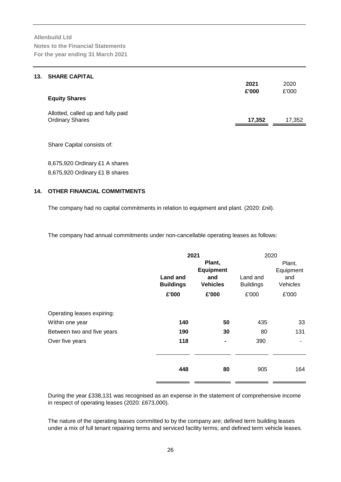| 13. | <b>SHARE CAPITAL</b>               |        |        |
|-----|------------------------------------|--------|--------|
|     |                                    | 2021   | 2020   |
|     |                                    | £'000  | £'000  |
|     | <b>Equity Shares</b>               |        |        |
|     | Allotted, called up and fully paid |        |        |
|     | <b>Ordinary Shares</b>             | 17,352 | 17,352 |
|     |                                    |        |        |

Share Capital consists of:

8,675,920 Ordinary £1 A shares 8,675,920 Ordinary £1 B shares

## **14. OTHER FINANCIAL COMMITMENTS**

The company had no capital commitments in relation to equipment and plant. (2020: £nil).

The company had annual commitments under non-cancellable operating leases as follows:

|                                                                             |                                     | 2021                                                 |                              | 2020                                   |
|-----------------------------------------------------------------------------|-------------------------------------|------------------------------------------------------|------------------------------|----------------------------------------|
|                                                                             | <b>Land and</b><br><b>Buildings</b> | Plant,<br><b>Equipment</b><br>and<br><b>Vehicles</b> | Land and<br><b>Buildings</b> | Plant,<br>Equipment<br>and<br>Vehicles |
|                                                                             | £'000                               | £'000                                                | £'000                        | £'000                                  |
| Operating leases expiring:<br>Within one year<br>Between two and five years | 140<br>190                          | 50<br>30                                             | 435<br>80                    | 33<br>131                              |
| Over five years                                                             | 118                                 |                                                      | 390                          | ۰                                      |
|                                                                             | 448                                 | 80                                                   | 905                          | 164                                    |

During the year £338,131 was recognised as an expense in the statement of comprehensive income in respect of operating leases (2020: £673,000).

The nature of the operating leases committed to by the company are; defined term building leases under a mix of full tenant repairing terms and serviced facility terms; and defined term vehicle leases.